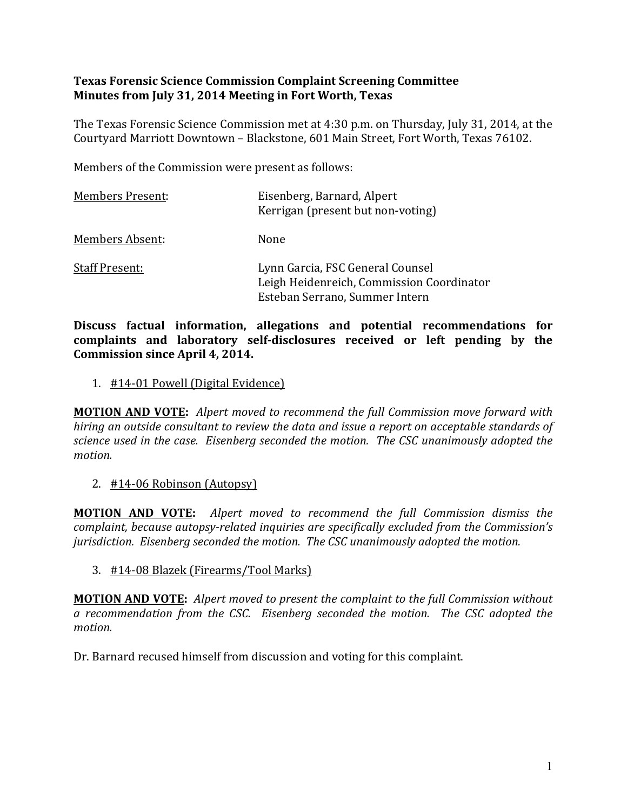## **Texas Forensic Science Commission Complaint Screening Committee Minutes from July 31, 2014 Meeting in Fort Worth, Texas**

The Texas Forensic Science Commission met at 4:30 p.m. on Thursday, July 31, 2014, at the Courtyard Marriott Downtown - Blackstone, 601 Main Street, Fort Worth, Texas 76102.

Members of the Commission were present as follows:

| <b>Members Present:</b> | Eisenberg, Barnard, Alpert<br>Kerrigan (present but non-voting)                                                 |
|-------------------------|-----------------------------------------------------------------------------------------------------------------|
| Members Absent:         | None                                                                                                            |
| <b>Staff Present:</b>   | Lynn Garcia, FSC General Counsel<br>Leigh Heidenreich, Commission Coordinator<br>Esteban Serrano, Summer Intern |

Discuss factual information, allegations and potential recommendations for complaints and laboratory self-disclosures received or left pending by the **Commission since April 4, 2014.** 

1. #14-01 Powell (Digital Evidence)

**MOTION AND VOTE:** Alpert moved to recommend the full Commission move forward with *hiring* an outside consultant to review the data and issue a report on acceptable standards of *science used in the case. Eisenberg seconded the motion. The CSC unanimously adopted the motion.* 

2. #14-06 Robinson (Autopsy)

**MOTION AND VOTE:** Alpert moved to recommend the full Commission dismiss the *complaint, because autopsy-related inquiries are specifically excluded from the Commission's jurisdiction.* Eisenberg seconded the motion. The CSC unanimously adopted the motion.

3. #14-08 Blazek (Firearms/Tool Marks)

**MOTION AND VOTE:** Alpert moved to present the complaint to the full Commission without *a* recommendation from the CSC. Eisenberg seconded the motion. The CSC adopted the motion.

Dr. Barnard recused himself from discussion and voting for this complaint.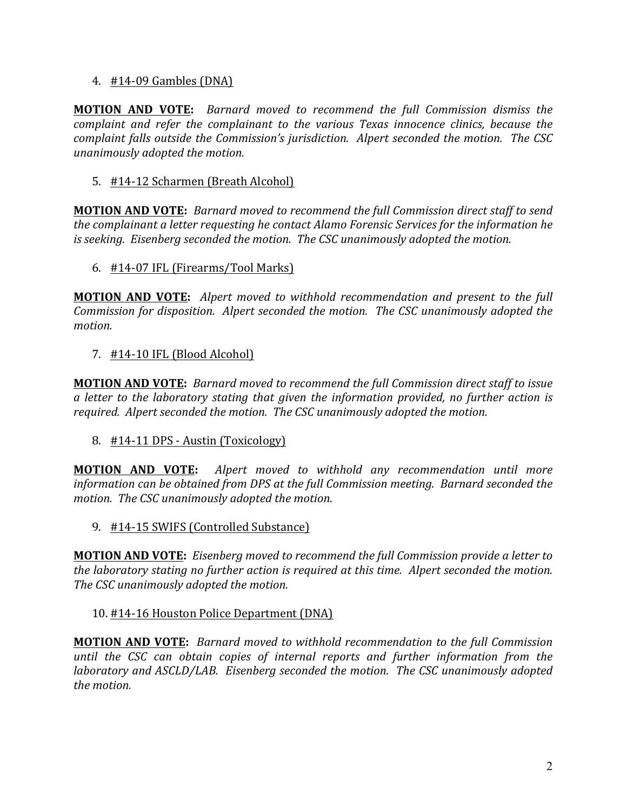### 4. #14-09 Gambles (DNA)

**MOTION AND VOTE:** Barnard moved to recommend the full Commission dismiss the *complaint and refer the complainant to the various Texas innocence clinics, because the complaint falls outside the Commission's jurisdiction. Alpert seconded the motion. The CSC unanimously adopted the motion.* 

# 5. #14-12 Scharmen (Breath Alcohol)

**MOTION AND VOTE:** *Barnard moved to recommend the full Commission direct staff to send the complainant a letter requesting he contact Alamo Forensic Services for the information he is* seeking. Eisenberg seconded the motion. The CSC unanimously adopted the motion.

### 6.  $\#14$ -07 IFL (Firearms/Tool Marks)

**MOTION AND VOTE:** Alpert moved to withhold recommendation and present to the full *Commission for disposition. Alpert seconded the motion. The CSC unanimously adopted the motion.* 

### 7. #14-10 IFL (Blood Alcohol)

**MOTION AND VOTE:** *Barnard moved to recommend the full Commission direct staff to issue a* letter to the laboratory stating that given the information provided, no further action is required. Alpert seconded the motion. The CSC unanimously adopted the motion.

# 8. #14-11 DPS - Austin (Toxicology)

**MOTION AND VOTE:** Alpert moved to withhold any recommendation until more *information can be obtained from DPS at the full Commission meeting. Barnard seconded the motion.* The CSC unanimously adopted the motion.

9. #14-15 SWIFS (Controlled Substance)

**MOTION AND VOTE:** *Eisenberg moved to recommend the full Commission provide a letter to the laboratory stating no further action is required at this time. Alpert seconded the motion.* The CSC unanimously adopted the motion.

#### 10. #14-16 Houston Police Department (DNA)

**MOTION AND VOTE:** *Barnard moved to withhold recommendation to the full Commission until* the CSC can obtain copies of internal reports and further information from the *laboratory* and ASCLD/LAB. Eisenberg seconded the motion. The CSC unanimously adopted *the motion.*